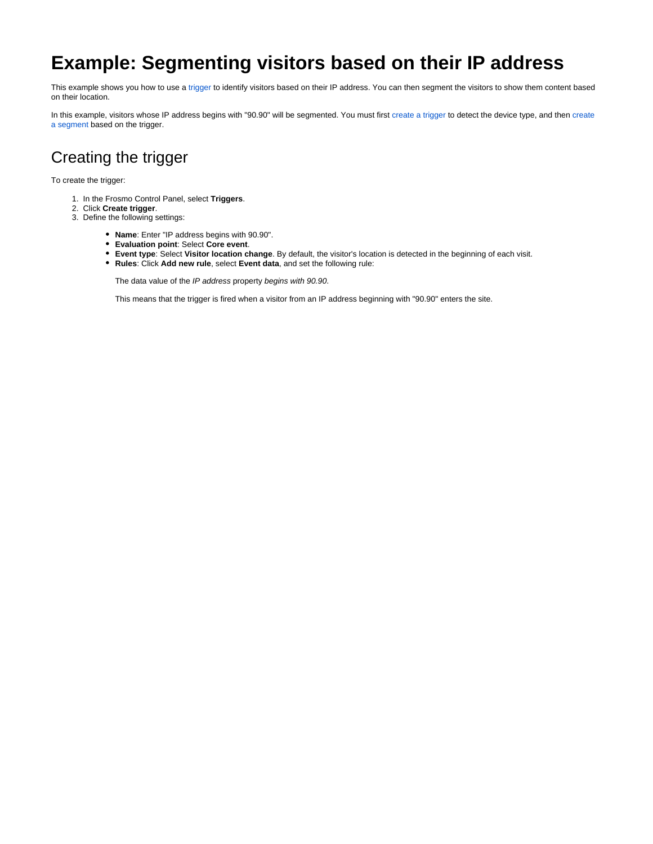## **Example: Segmenting visitors based on their IP address**

This example shows you how to use a [trigger](https://docs.frosmo.com/display/platform/Feature%3A+Trigger) to identify visitors based on their IP address. You can then segment the visitors to show them content based on their location.

In this example, visitors whose IP address begins with "90.90" will be segmented. You must first [create a trigger](#page-0-0) to detect the device type, and then create [a segment](#page-1-0) based on the trigger.

## <span id="page-0-0"></span>Creating the trigger

To create the trigger:

- 1. In the Frosmo Control Panel, select **Triggers**.
- 2. Click **Create trigger**.
- 3. Define the following settings:
	- **Name**: Enter "IP address begins with 90.90".
	- **Evaluation point**: Select **Core event**.
	- **Event type**: Select **Visitor location change**. By default, the visitor's location is detected in the beginning of each visit.
	- **Rules**: Click **Add new rule**, select **Event data**, and set the following rule:

The data value of the IP address property begins with 90.90.

This means that the trigger is fired when a visitor from an IP address beginning with "90.90" enters the site.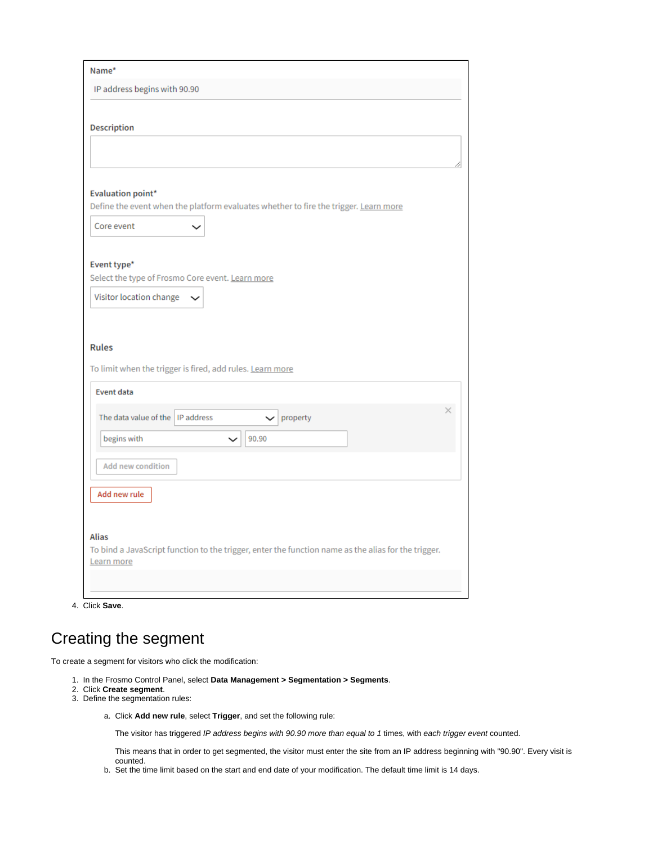| Name*                                                                                                             |
|-------------------------------------------------------------------------------------------------------------------|
| IP address begins with 90.90                                                                                      |
|                                                                                                                   |
| <b>Description</b>                                                                                                |
|                                                                                                                   |
|                                                                                                                   |
| <b>Evaluation point*</b>                                                                                          |
| Define the event when the platform evaluates whether to fire the trigger. Learn more                              |
| Core event                                                                                                        |
|                                                                                                                   |
| Event type*                                                                                                       |
| Select the type of Frosmo Core event. Learn more                                                                  |
| Visitor location change                                                                                           |
|                                                                                                                   |
|                                                                                                                   |
| <b>Rules</b>                                                                                                      |
| To limit when the trigger is fired, add rules. Learn more                                                         |
| <b>Event data</b>                                                                                                 |
| ×.<br>The data value of the   IP address<br>property<br>$\check{ }$                                               |
|                                                                                                                   |
| begins with<br>90.90                                                                                              |
| <b>Add new condition</b>                                                                                          |
|                                                                                                                   |
| Add new rule                                                                                                      |
|                                                                                                                   |
| <b>Alias</b>                                                                                                      |
| To bind a JavaScript function to the trigger, enter the function name as the alias for the trigger.<br>Learn more |
|                                                                                                                   |
|                                                                                                                   |

4. Click **Save**.

## <span id="page-1-0"></span>Creating the segment

To create a segment for visitors who click the modification:

- 1. In the Frosmo Control Panel, select **Data Management > Segmentation > Segments**.
- 2. Click **Create segment**.
- 3. Define the segmentation rules:
	- a. Click **Add new rule**, select **Trigger**, and set the following rule:

The visitor has triggered IP address begins with 90.90 more than equal to 1 times, with each trigger event counted.

This means that in order to get segmented, the visitor must enter the site from an IP address beginning with "90.90". Every visit is counted.

b. Set the time limit based on the start and end date of your modification. The default time limit is 14 days.